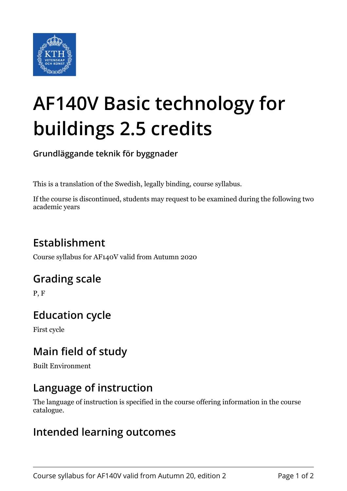

# **AF140V Basic technology for buildings 2.5 credits**

**Grundläggande teknik för byggnader**

This is a translation of the Swedish, legally binding, course syllabus.

If the course is discontinued, students may request to be examined during the following two academic years

# **Establishment**

Course syllabus for AF140V valid from Autumn 2020

## **Grading scale**

P, F

## **Education cycle**

First cycle

## **Main field of study**

Built Environment

## **Language of instruction**

The language of instruction is specified in the course offering information in the course catalogue.

#### **Intended learning outcomes**